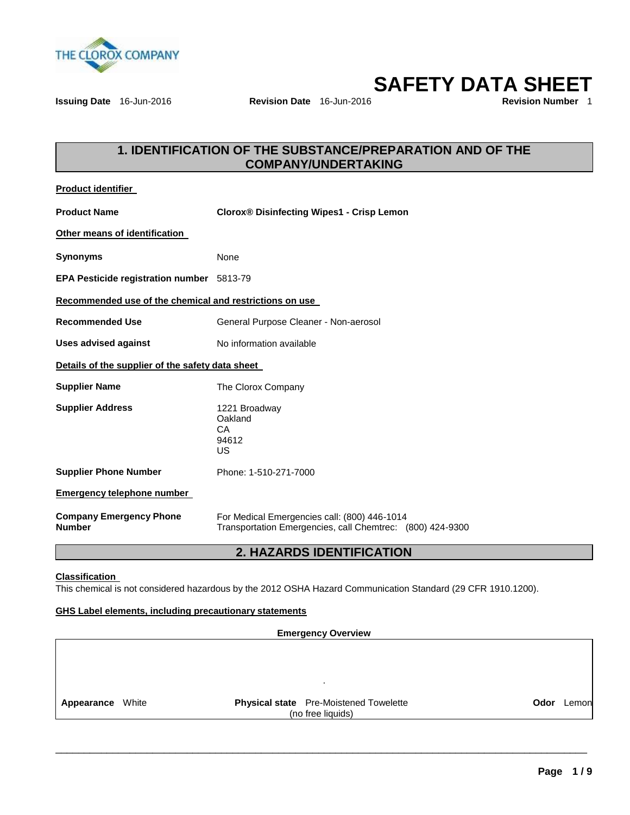

**SAFETY DATA SHEET** 

**Issuing Date** 16-Jun-2016 **Revision Date** 16-Jun-2016

# **1. IDENTIFICATION OF THE SUBSTANCE/PREPARATION AND OF THE COMPANY/UNDERTAKING**

| <b>Product identifier</b>                               |                                                                                                           |
|---------------------------------------------------------|-----------------------------------------------------------------------------------------------------------|
| <b>Product Name</b>                                     | <b>Clorox® Disinfecting Wipes1 - Crisp Lemon</b>                                                          |
| Other means of identification                           |                                                                                                           |
| <b>Synonyms</b>                                         | None                                                                                                      |
| <b>EPA Pesticide registration number</b> 5813-79        |                                                                                                           |
| Recommended use of the chemical and restrictions on use |                                                                                                           |
| <b>Recommended Use</b>                                  | General Purpose Cleaner - Non-aerosol                                                                     |
| <b>Uses advised against</b>                             | No information available                                                                                  |
| Details of the supplier of the safety data sheet        |                                                                                                           |
| <b>Supplier Name</b>                                    | The Clorox Company                                                                                        |
| <b>Supplier Address</b>                                 | 1221 Broadway<br>Oakland<br>CA<br>94612<br>US                                                             |
| <b>Supplier Phone Number</b>                            | Phone: 1-510-271-7000                                                                                     |
| <b>Emergency telephone number</b>                       |                                                                                                           |
| <b>Company Emergency Phone</b><br><b>Number</b>         | For Medical Emergencies call: (800) 446-1014<br>Transportation Emergencies, call Chemtrec: (800) 424-9300 |

# **2. HAZARDS IDENTIFICATION**

### **Classification**

This chemical is not considered hazardous by the 2012 OSHA Hazard Communication Standard (29 CFR 1910.1200).

### **GHS Label elements, including precautionary statements**

**Emergency Overview**  . **Appearance** White **Physical state** Pre-Moistened Towelette (no free liquids) **Odor** Lemon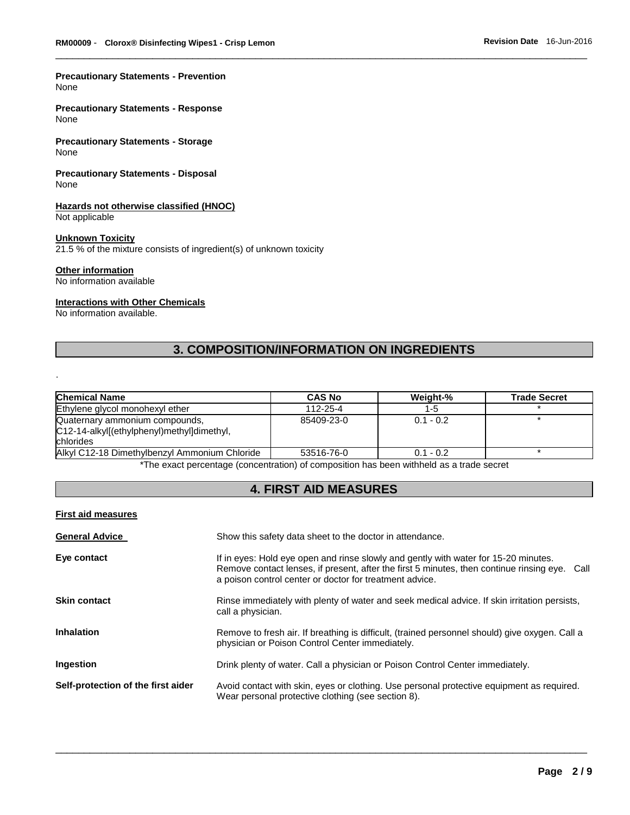#### **Precautionary Statements - Prevention** None

**Precautionary Statements - Response** None

**Precautionary Statements - Storage** None

**Precautionary Statements - Disposal** None

#### **Hazards not otherwise classified (HNOC)** Not applicable

.

### **Unknown Toxicity**

21.5 % of the mixture consists of ingredient(s) of unknown toxicity

### **Other information**

No information available

### **Interactions with Other Chemicals**

No information available.

# **3. COMPOSITION/INFORMATION ON INGREDIENTS**

\_\_\_\_\_\_\_\_\_\_\_\_\_\_\_\_\_\_\_\_\_\_\_\_\_\_\_\_\_\_\_\_\_\_\_\_\_\_\_\_\_\_\_\_\_\_\_\_\_\_\_\_\_\_\_\_\_\_\_\_\_\_\_\_\_\_\_\_\_\_\_\_\_\_\_\_\_\_\_\_\_\_\_\_\_\_\_\_\_\_\_\_\_

| <b>Chemical Name</b>                                                                      | <b>CAS No</b> | Weight-%    | <b>Trade Secret</b> |
|-------------------------------------------------------------------------------------------|---------------|-------------|---------------------|
| Ethylene glycol monohexyl ether                                                           | 112-25-4      | 1-5         |                     |
| Quaternary ammonium compounds,<br>C12-14-alkyl[(ethylphenyl)methyl]dimethyl,<br>chlorides | 85409-23-0    | $0.1 - 0.2$ |                     |
| Alkyl C12-18 Dimethylbenzyl Ammonium Chloride                                             | 53516-76-0    | $0.1 - 0.2$ |                     |

The exact percentage (concentration) of composition has been withheld as a trade secret

# **4. FIRST AID MEASURES**

#### **First aid measures**

| <b>General Advice</b>              | Show this safety data sheet to the doctor in attendance.                                                                                                                                                                                           |
|------------------------------------|----------------------------------------------------------------------------------------------------------------------------------------------------------------------------------------------------------------------------------------------------|
| Eye contact                        | If in eyes: Hold eye open and rinse slowly and gently with water for 15-20 minutes.<br>Remove contact lenses, if present, after the first 5 minutes, then continue rinsing eye.<br>Call<br>a poison control center or doctor for treatment advice. |
| <b>Skin contact</b>                | Rinse immediately with plenty of water and seek medical advice. If skin irritation persists,<br>call a physician.                                                                                                                                  |
| <b>Inhalation</b>                  | Remove to fresh air. If breathing is difficult, (trained personnel should) give oxygen. Call a<br>physician or Poison Control Center immediately.                                                                                                  |
| Ingestion                          | Drink plenty of water. Call a physician or Poison Control Center immediately.                                                                                                                                                                      |
| Self-protection of the first aider | Avoid contact with skin, eyes or clothing. Use personal protective equipment as required.<br>Wear personal protective clothing (see section 8).                                                                                                    |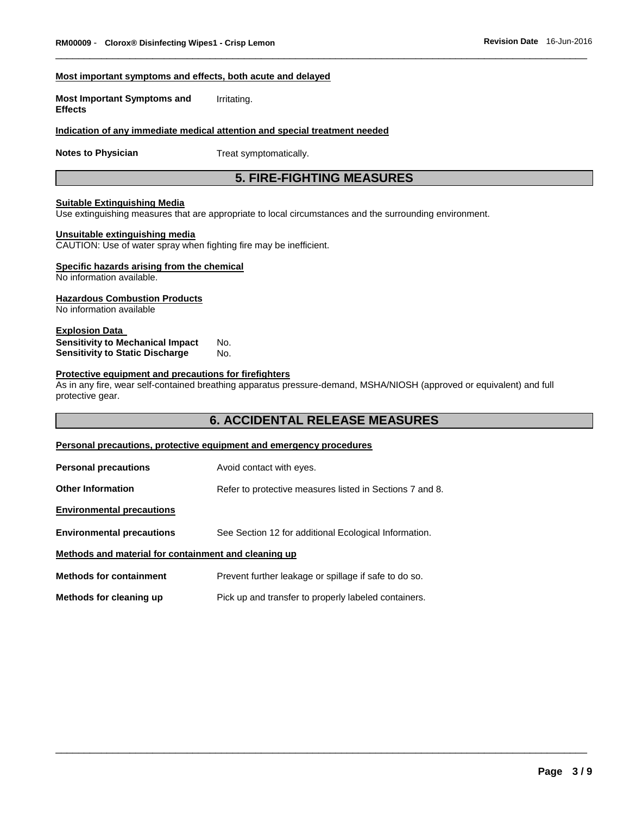#### **Most important symptoms and effects, both acute and delayed**

**Most Important Symptoms and Effects**  Irritating.

### **Indication of any immediate medical attention and special treatment needed**

**Notes to Physician**  Treat symptomatically.

# **5. FIRE-FIGHTING MEASURES**

\_\_\_\_\_\_\_\_\_\_\_\_\_\_\_\_\_\_\_\_\_\_\_\_\_\_\_\_\_\_\_\_\_\_\_\_\_\_\_\_\_\_\_\_\_\_\_\_\_\_\_\_\_\_\_\_\_\_\_\_\_\_\_\_\_\_\_\_\_\_\_\_\_\_\_\_\_\_\_\_\_\_\_\_\_\_\_\_\_\_\_\_\_

#### **Suitable Extinguishing Media**

Use extinguishing measures that are appropriate to local circumstances and the surrounding environment.

### **Unsuitable extinguishing media**

CAUTION: Use of water spray when fighting fire may be inefficient.

### **Specific hazards arising from the chemical**

No information available.

#### **Hazardous Combustion Products**

No information available

#### **Explosion Data Sensitivity to Mechanical Impact** No. **Sensitivity to Static Discharge Mo.**

#### **Protective equipment and precautions for firefighters**

As in any fire, wear self-contained breathing apparatus pressure-demand, MSHA/NIOSH (approved or equivalent) and full protective gear.

# **6. ACCIDENTAL RELEASE MEASURES**

\_\_\_\_\_\_\_\_\_\_\_\_\_\_\_\_\_\_\_\_\_\_\_\_\_\_\_\_\_\_\_\_\_\_\_\_\_\_\_\_\_\_\_\_\_\_\_\_\_\_\_\_\_\_\_\_\_\_\_\_\_\_\_\_\_\_\_\_\_\_\_\_\_\_\_\_\_\_\_\_\_\_\_\_\_\_\_\_\_\_\_\_\_

### **Personal precautions, protective equipment and emergency procedures**

| <b>Personal precautions</b>                          | Avoid contact with eyes.                                 |
|------------------------------------------------------|----------------------------------------------------------|
| <b>Other Information</b>                             | Refer to protective measures listed in Sections 7 and 8. |
| <b>Environmental precautions</b>                     |                                                          |
| <b>Environmental precautions</b>                     | See Section 12 for additional Ecological Information.    |
| Methods and material for containment and cleaning up |                                                          |
| <b>Methods for containment</b>                       | Prevent further leakage or spillage if safe to do so.    |
| Methods for cleaning up                              | Pick up and transfer to properly labeled containers.     |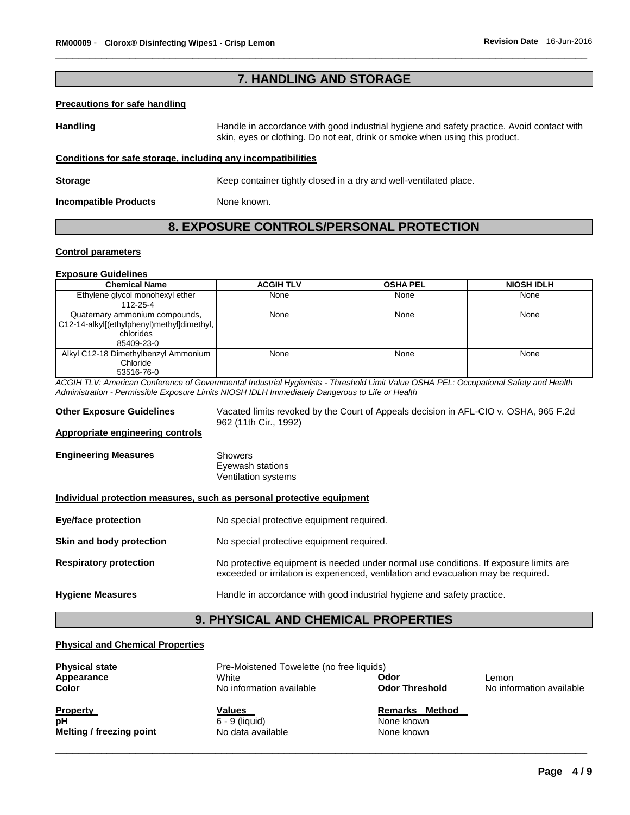# **7. HANDLING AND STORAGE**

\_\_\_\_\_\_\_\_\_\_\_\_\_\_\_\_\_\_\_\_\_\_\_\_\_\_\_\_\_\_\_\_\_\_\_\_\_\_\_\_\_\_\_\_\_\_\_\_\_\_\_\_\_\_\_\_\_\_\_\_\_\_\_\_\_\_\_\_\_\_\_\_\_\_\_\_\_\_\_\_\_\_\_\_\_\_\_\_\_\_\_\_\_

#### **Precautions for safe handling**

**Handling** Handle in accordance with good industrial hygiene and safety practice. Avoid contact with skin, eyes or clothing. Do not eat, drink or smoke when using this product.

### **Conditions for safe storage, including any incompatibilities**

**Storage <b>Storage Keep container tightly closed in a dry and well-ventilated place.** 

**Incompatible Products** None known.

# **8. EXPOSURE CONTROLS/PERSONAL PROTECTION**

#### **Control parameters**

#### **Exposure Guidelines**

| <b>Chemical Name</b>                        | <b>ACGIH TLV</b> | <b>OSHA PEL</b> | <b>NIOSH IDLH</b> |
|---------------------------------------------|------------------|-----------------|-------------------|
| Ethylene glycol monohexyl ether<br>112-25-4 | None             | None            | None              |
|                                             |                  |                 |                   |
| Quaternary ammonium compounds,              | None             | None            | None              |
| C12-14-alkyl[(ethylphenyl)methyl]dimethyl,  |                  |                 |                   |
| chlorides                                   |                  |                 |                   |
| 85409-23-0                                  |                  |                 |                   |
| Alkyl C12-18 Dimethylbenzyl Ammonium        | None             | None            | None              |
| Chloride                                    |                  |                 |                   |
| 53516-76-0                                  |                  |                 |                   |

*ACGIH TLV: American Conference of Governmental Industrial Hygienists - Threshold Limit Value OSHA PEL: Occupational Safety and Health Administration - Permissible Exposure Limits NIOSH IDLH Immediately Dangerous to Life or Health* 

**Other Exposure Guidelines** Vacated limits revoked by the Court of Appeals decision in AFL-CIO v. OSHA, 965 F.2d 962 (11th Cir., 1992)

#### **Appropriate engineering controls**

**Engineering Measures** Showers Eyewash stations Ventilation systems

#### **Individual protection measures, such as personal protective equipment**

**Eye/face protection** No special protective equipment required. **Skin and body protection** No special protective equipment required. **Respiratory protection** No protective equipment is needed under normal use conditions. If exposure limits are exceeded or irritation is experienced, ventilation and evacuation may be required.

**Hygiene Measures** Handle in accordance with good industrial hygiene and safety practice.

# **9. PHYSICAL AND CHEMICAL PROPERTIES**

### **Physical and Chemical Properties**

| <b>Physical state</b>    | Pre-Moistened Towelette (no free liquids) |                          |                          |
|--------------------------|-------------------------------------------|--------------------------|--------------------------|
| Appearance               | White                                     | Odor                     | Lemon                    |
| Color                    | No information available                  | <b>Odor Threshold</b>    | No information available |
| <b>Property</b>          | Values                                    | Method<br><b>Remarks</b> |                          |
| рH                       | $6 - 9$ (liquid)                          | None known               |                          |
| Melting / freezing point | No data available                         | None known               |                          |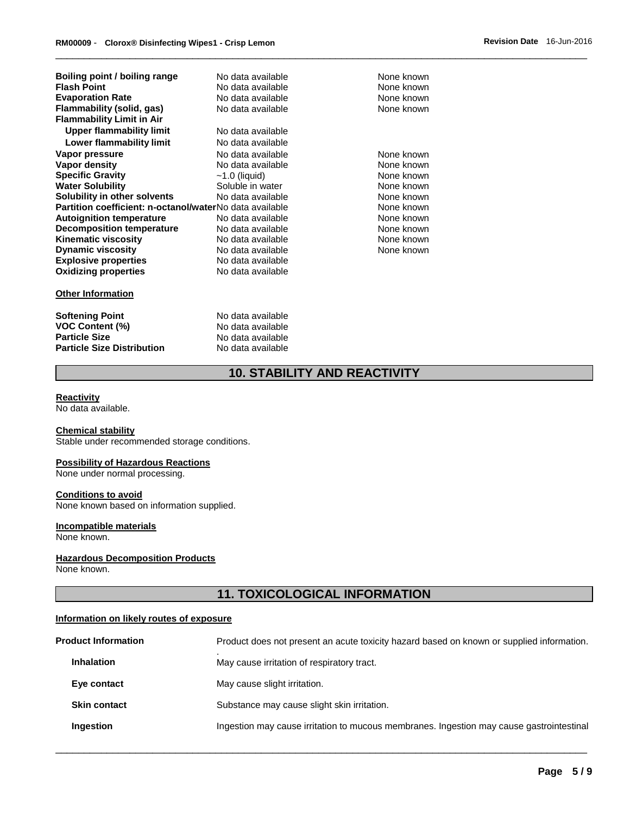| Boiling point / boiling range                           | No data available | None known |
|---------------------------------------------------------|-------------------|------------|
| <b>Flash Point</b>                                      | No data available | None known |
| <b>Evaporation Rate</b>                                 | No data available | None known |
| Flammability (solid, gas)                               | No data available | None known |
| <b>Flammability Limit in Air</b>                        |                   |            |
| Upper flammability limit                                | No data available |            |
| Lower flammability limit                                | No data available |            |
| Vapor pressure                                          | No data available | None known |
| Vapor density                                           | No data available | None known |
| <b>Specific Gravity</b>                                 | $~1.0$ (liquid)   | None known |
| <b>Water Solubility</b>                                 | Soluble in water  | None known |
| Solubility in other solvents                            | No data available | None known |
| Partition coefficient: n-octanol/waterNo data available |                   | None known |
| <b>Autoignition temperature</b>                         | No data available | None known |
| <b>Decomposition temperature</b>                        | No data available | None known |
| <b>Kinematic viscosity</b>                              | No data available | None known |
| <b>Dynamic viscosity</b>                                | No data available | None known |
| <b>Explosive properties</b>                             | No data available |            |
| <b>Oxidizing properties</b>                             | No data available |            |
|                                                         |                   |            |
|                                                         |                   |            |

### **Other Information**

**Softening Point No data available**<br> **No data available**<br>
No data available **VOC Content (%) Particle Size No data available Particle Size Distribution** No data available

# **10. STABILITY AND REACTIVITY**

\_\_\_\_\_\_\_\_\_\_\_\_\_\_\_\_\_\_\_\_\_\_\_\_\_\_\_\_\_\_\_\_\_\_\_\_\_\_\_\_\_\_\_\_\_\_\_\_\_\_\_\_\_\_\_\_\_\_\_\_\_\_\_\_\_\_\_\_\_\_\_\_\_\_\_\_\_\_\_\_\_\_\_\_\_\_\_\_\_\_\_\_\_

#### **Reactivity**

No data available.

#### **Chemical stability**

Stable under recommended storage conditions.

#### **Possibility of Hazardous Reactions**

None under normal processing.

#### **Conditions to avoid**

None known based on information supplied.

#### **Incompatible materials**

None known.

#### **Hazardous Decomposition Products**

None known.

# **11. TOXICOLOGICAL INFORMATION**

#### **Information on likely routes of exposure**

| <b>Product Information</b> | Product does not present an acute toxicity hazard based on known or supplied information. |
|----------------------------|-------------------------------------------------------------------------------------------|
| <b>Inhalation</b>          | May cause irritation of respiratory tract.                                                |
| Eye contact                | May cause slight irritation.                                                              |
| <b>Skin contact</b>        | Substance may cause slight skin irritation.                                               |
| Ingestion                  | Ingestion may cause irritation to mucous membranes. Ingestion may cause gastrointestinal  |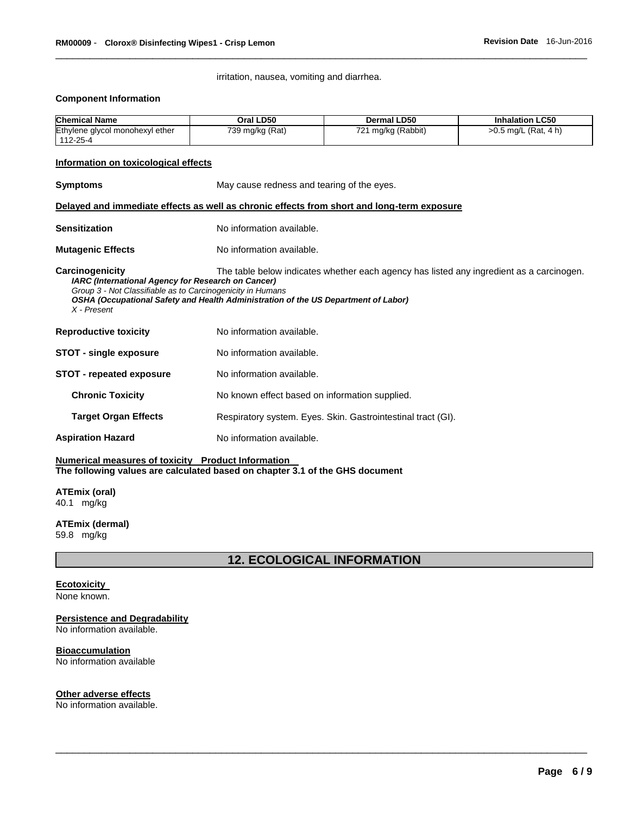irritation, nausea, vomiting and diarrhea.

\_\_\_\_\_\_\_\_\_\_\_\_\_\_\_\_\_\_\_\_\_\_\_\_\_\_\_\_\_\_\_\_\_\_\_\_\_\_\_\_\_\_\_\_\_\_\_\_\_\_\_\_\_\_\_\_\_\_\_\_\_\_\_\_\_\_\_\_\_\_\_\_\_\_\_\_\_\_\_\_\_\_\_\_\_\_\_\_\_\_\_\_\_

#### **Component Information**

| <b>Chemical Name</b>                                                                                                                                                                                                                                                                                                                          | Oral LD50                                  | <b>Dermal LD50</b>                                           | <b>Inhalation LC50</b> |  |
|-----------------------------------------------------------------------------------------------------------------------------------------------------------------------------------------------------------------------------------------------------------------------------------------------------------------------------------------------|--------------------------------------------|--------------------------------------------------------------|------------------------|--|
| Ethylene glycol monohexyl ether<br>112-25-4                                                                                                                                                                                                                                                                                                   | 739 mg/kg (Rat)                            | 721 mg/kg (Rabbit)                                           | >0.5 mg/L (Rat, 4 h)   |  |
| Information on toxicological effects                                                                                                                                                                                                                                                                                                          |                                            |                                                              |                        |  |
| <b>Symptoms</b>                                                                                                                                                                                                                                                                                                                               | May cause redness and tearing of the eyes. |                                                              |                        |  |
| Delayed and immediate effects as well as chronic effects from short and long-term exposure                                                                                                                                                                                                                                                    |                                            |                                                              |                        |  |
| <b>Sensitization</b>                                                                                                                                                                                                                                                                                                                          | No information available.                  |                                                              |                        |  |
| <b>Mutagenic Effects</b>                                                                                                                                                                                                                                                                                                                      | No information available.                  |                                                              |                        |  |
| Carcinogenicity<br>The table below indicates whether each agency has listed any ingredient as a carcinogen.<br><b>IARC</b> (International Agency for Research on Cancer)<br>Group 3 - Not Classifiable as to Carcinogenicity in Humans<br>OSHA (Occupational Safety and Health Administration of the US Department of Labor)<br>$X$ - Present |                                            |                                                              |                        |  |
| <b>Reproductive toxicity</b>                                                                                                                                                                                                                                                                                                                  | No information available.                  |                                                              |                        |  |
| <b>STOT - single exposure</b>                                                                                                                                                                                                                                                                                                                 | No information available.                  |                                                              |                        |  |
| <b>STOT - repeated exposure</b>                                                                                                                                                                                                                                                                                                               | No information available.                  |                                                              |                        |  |
| <b>Chronic Toxicity</b>                                                                                                                                                                                                                                                                                                                       |                                            | No known effect based on information supplied.               |                        |  |
| <b>Target Organ Effects</b>                                                                                                                                                                                                                                                                                                                   |                                            | Respiratory system. Eyes. Skin. Gastrointestinal tract (GI). |                        |  |
| <b>Aspiration Hazard</b>                                                                                                                                                                                                                                                                                                                      | No information available.                  |                                                              |                        |  |

#### **Numerical measures of toxicity Product Information The following values are calculated based on chapter 3.1 of the GHS document**

**ATEmix (oral)** 40.1 mg/kg

**ATEmix (dermal)** 59.8 mg/kg

**12. ECOLOGICAL INFORMATION** 

\_\_\_\_\_\_\_\_\_\_\_\_\_\_\_\_\_\_\_\_\_\_\_\_\_\_\_\_\_\_\_\_\_\_\_\_\_\_\_\_\_\_\_\_\_\_\_\_\_\_\_\_\_\_\_\_\_\_\_\_\_\_\_\_\_\_\_\_\_\_\_\_\_\_\_\_\_\_\_\_\_\_\_\_\_\_\_\_\_\_\_\_\_

#### **Ecotoxicity**

None known.

# **Persistence and Degradability**

No information available.

### **Bioaccumulation**

No information available

#### **Other adverse effects**

No information available.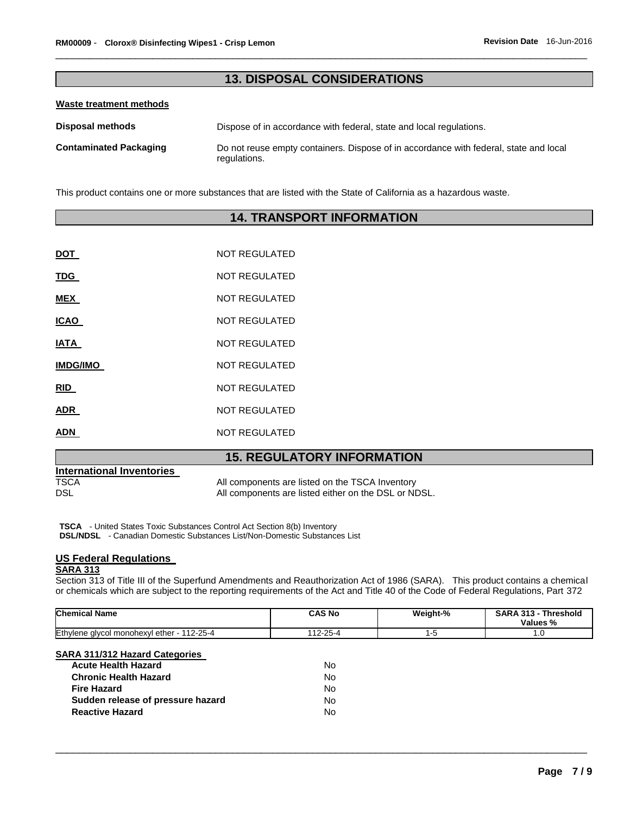# **13. DISPOSAL CONSIDERATIONS**

\_\_\_\_\_\_\_\_\_\_\_\_\_\_\_\_\_\_\_\_\_\_\_\_\_\_\_\_\_\_\_\_\_\_\_\_\_\_\_\_\_\_\_\_\_\_\_\_\_\_\_\_\_\_\_\_\_\_\_\_\_\_\_\_\_\_\_\_\_\_\_\_\_\_\_\_\_\_\_\_\_\_\_\_\_\_\_\_\_\_\_\_\_

### **Waste treatment methods**

| <b>Disposal methods</b>       | Dispose of in accordance with federal, state and local regulations.                                   |
|-------------------------------|-------------------------------------------------------------------------------------------------------|
| <b>Contaminated Packaging</b> | Do not reuse empty containers. Dispose of in accordance with federal, state and local<br>regulations. |

This product contains one or more substances that are listed with the State of California as a hazardous waste.

# **14. TRANSPORT INFORMATION**

| DOT             | <b>NOT REGULATED</b> |
|-----------------|----------------------|
| TDG             | NOT REGULATED        |
| MEX             | <b>NOT REGULATED</b> |
| ICAO            | NOT REGULATED        |
| IATA            | <b>NOT REGULATED</b> |
| <b>IMDG/IMO</b> | NOT REGULATED        |
| <b>RID</b>      | <b>NOT REGULATED</b> |
| ADR             | NOT REGULATED        |
| ADN             | <b>NOT REGULATED</b> |
|                 |                      |

# **15. REGULATORY INFORMATION**

| <b>International Inventories</b> |                                                      |
|----------------------------------|------------------------------------------------------|
| TSCA                             | All components are listed on the TSCA Inventory      |
| DSL                              | All components are listed either on the DSL or NDSL. |
|                                  |                                                      |

**TSCA** - United States Toxic Substances Control Act Section 8(b) Inventory **DSL/NDSL** - Canadian Domestic Substances List/Non-Domestic Substances List

# **US Federal Regulations**

# **SARA 313**

Section 313 of Title III of the Superfund Amendments and Reauthorization Act of 1986 (SARA). This product contains a chemical or chemicals which are subject to the reporting requirements of the Act and Title 40 of the Code of Federal Regulations, Part 372

| Chemical Name                                                                                       | <b>CAS No</b>   | Weight-% | SARA 313 - Threshold<br>Values % |
|-----------------------------------------------------------------------------------------------------|-----------------|----------|----------------------------------|
| Ethylene glycol monohexyl ether - 112-25-4                                                          | 112-25-4        | 1-5      | 1.0                              |
| <b>SARA 311/312 Hazard Categories</b><br><b>Acute Health Hazard</b><br><b>Chronic Health Hazard</b> | No<br><b>No</b> |          |                                  |
| <b>Fire Hazard</b>                                                                                  | No              |          |                                  |
| Sudden release of pressure hazard                                                                   | <b>No</b>       |          |                                  |
| <b>Reactive Hazard</b>                                                                              | No              |          |                                  |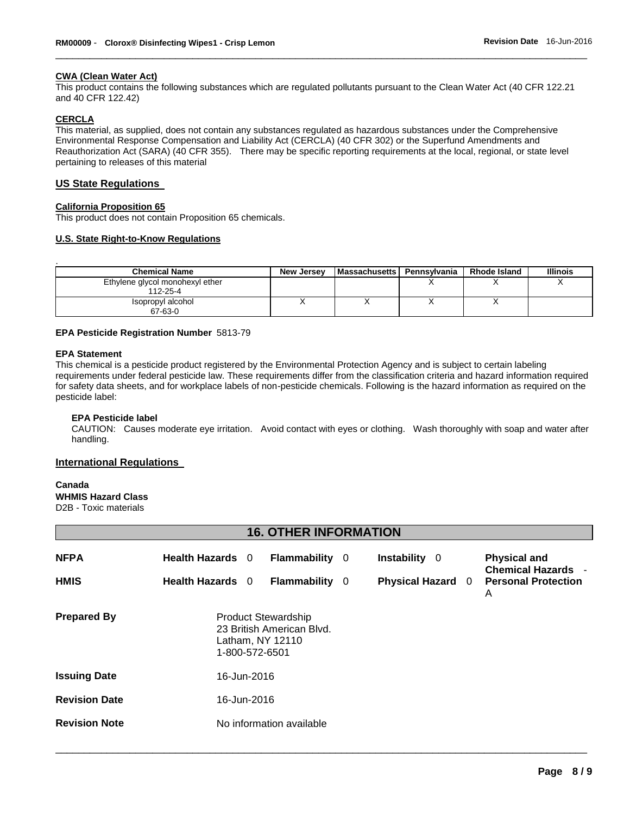### **CWA (Clean Water Act)**

This product contains the following substances which are regulated pollutants pursuant to the Clean Water Act (40 CFR 122.21 and 40 CFR 122.42)

\_\_\_\_\_\_\_\_\_\_\_\_\_\_\_\_\_\_\_\_\_\_\_\_\_\_\_\_\_\_\_\_\_\_\_\_\_\_\_\_\_\_\_\_\_\_\_\_\_\_\_\_\_\_\_\_\_\_\_\_\_\_\_\_\_\_\_\_\_\_\_\_\_\_\_\_\_\_\_\_\_\_\_\_\_\_\_\_\_\_\_\_\_

#### **CERCLA**

This material, as supplied, does not contain any substances regulated as hazardous substances under the Comprehensive Environmental Response Compensation and Liability Act (CERCLA) (40 CFR 302) or the Superfund Amendments and Reauthorization Act (SARA) (40 CFR 355). There may be specific reporting requirements at the local, regional, or state level pertaining to releases of this material

#### **US State Regulations**

#### **California Proposition 65**

This product does not contain Proposition 65 chemicals.

#### **U.S. State Right-to-Know Regulations**

| <b>Chemical Name</b>                        | New Jersey | <b>Massachusetts</b> | Pennsvlvania | <b>Rhode Island</b> | <b>Illinois</b> |
|---------------------------------------------|------------|----------------------|--------------|---------------------|-----------------|
| Ethylene glycol monohexyl ether<br>112-25-4 |            |                      |              |                     |                 |
| Isopropyl alcohol<br>67-63-0                |            |                      |              |                     |                 |

#### **EPA Pesticide Registration Number** 5813-79

#### **EPA Statement**

This chemical is a pesticide product registered by the Environmental Protection Agency and is subject to certain labeling requirements under federal pesticide law. These requirements differ from the classification criteria and hazard information required for safety data sheets, and for workplace labels of non-pesticide chemicals. Following is the hazard information as required on the pesticide label:

#### **EPA Pesticide label**

CAUTION: Causes moderate eye irritation. Avoid contact with eyes or clothing. Wash thoroughly with soap and water after handling.

### **International Regulations**

# **Canada**

**WHMIS Hazard Class**

D2B - Toxic materials

# **16. OTHER INFORMATION**

| <b>NFPA</b><br><b>HMIS</b> | Health Hazards 0<br>Health Hazards 0 |                                                                                               | Flammability 0<br>Flammability 0 |  | Instability 0<br><b>Physical Hazard</b> | $\Omega$ | <b>Physical and</b><br><b>Chemical Hazards -</b><br><b>Personal Protection</b><br>A |
|----------------------------|--------------------------------------|-----------------------------------------------------------------------------------------------|----------------------------------|--|-----------------------------------------|----------|-------------------------------------------------------------------------------------|
| <b>Prepared By</b>         |                                      | <b>Product Stewardship</b><br>23 British American Blvd.<br>Latham, NY 12110<br>1-800-572-6501 |                                  |  |                                         |          |                                                                                     |
| <b>Issuing Date</b>        | 16-Jun-2016                          |                                                                                               |                                  |  |                                         |          |                                                                                     |
| <b>Revision Date</b>       | 16-Jun-2016                          |                                                                                               |                                  |  |                                         |          |                                                                                     |
| <b>Revision Note</b>       |                                      |                                                                                               | No information available         |  |                                         |          |                                                                                     |